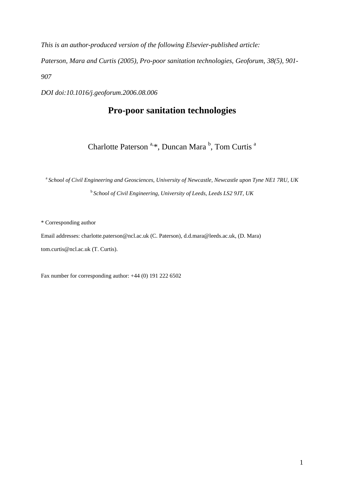*This is an author-produced version of the following Elsevier-published article:* 

*Paterson, Mara and Curtis (2005), Pro-poor sanitation technologies, Geoforum, 38(5), 901- 907* 

*DOI doi:10.1016/j.geoforum.2006.08.006* 

# **Pro-poor sanitation technologies**

Charlotte Paterson<sup>a,\*</sup>, Duncan Mara<sup>b</sup>, Tom Curtis<sup>a</sup>

<sup>a</sup> School of Civil Engineering and Geosciences, University of Newcastle, Newcastle upon Tyne NE1 7RU, UK <sup>b</sup>*School of Civil Engineering, University of Leeds, Leeds LS2 9JT, UK*

\* Corresponding author

Email addresses: charlotte.paterson@ncl.ac.uk (C. Paterson), d.d.mara@leeds.ac.uk, (D. Mara) tom.curtis@ncl.ac.uk (T. Curtis).

Fax number for corresponding author: +44 (0) 191 222 6502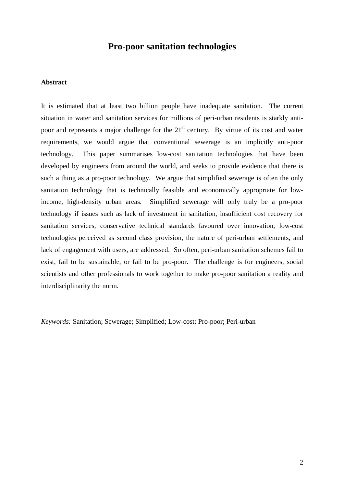# **Pro-poor sanitation technologies**

## **Abstract**

It is estimated that at least two billion people have inadequate sanitation. The current situation in water and sanitation services for millions of peri-urban residents is starkly antipoor and represents a major challenge for the  $21<sup>st</sup>$  century. By virtue of its cost and water requirements, we would argue that conventional sewerage is an implicitly anti-poor technology. This paper summarises low-cost sanitation technologies that have been developed by engineers from around the world, and seeks to provide evidence that there is such a thing as a pro-poor technology. We argue that simplified sewerage is often the only sanitation technology that is technically feasible and economically appropriate for lowincome, high-density urban areas. Simplified sewerage will only truly be a pro-poor technology if issues such as lack of investment in sanitation, insufficient cost recovery for sanitation services, conservative technical standards favoured over innovation, low-cost technologies perceived as second class provision, the nature of peri-urban settlements, and lack of engagement with users, are addressed. So often, peri-urban sanitation schemes fail to exist, fail to be sustainable, or fail to be pro-poor. The challenge is for engineers, social scientists and other professionals to work together to make pro-poor sanitation a reality and interdisciplinarity the norm.

*Keywords:* Sanitation; Sewerage; Simplified; Low-cost; Pro-poor; Peri-urban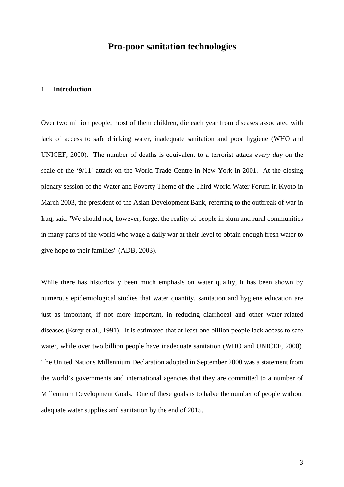# **Pro-poor sanitation technologies**

#### **1 Introduction**

Over two million people, most of them children, die each year from diseases associated with lack of access to safe drinking water, inadequate sanitation and poor hygiene (WHO and UNICEF, 2000). The number of deaths is equivalent to a terrorist attack *every day* on the scale of the '9/11' attack on the World Trade Centre in New York in 2001. At the closing plenary session of the Water and Poverty Theme of the Third World Water Forum in Kyoto in March 2003, the president of the Asian Development Bank, referring to the outbreak of war in Iraq, said "We should not, however, forget the reality of people in slum and rural communities in many parts of the world who wage a daily war at their level to obtain enough fresh water to give hope to their families" (ADB, 2003).

While there has historically been much emphasis on water quality, it has been shown by numerous epidemiological studies that water quantity, sanitation and hygiene education are just as important, if not more important, in reducing diarrhoeal and other water-related diseases (Esrey et al., 1991). It is estimated that at least one billion people lack access to safe water, while over two billion people have inadequate sanitation (WHO and UNICEF, 2000). The United Nations Millennium Declaration adopted in September 2000 was a statement from the world's governments and international agencies that they are committed to a number of Millennium Development Goals. One of these goals is to halve the number of people without adequate water supplies and sanitation by the end of 2015.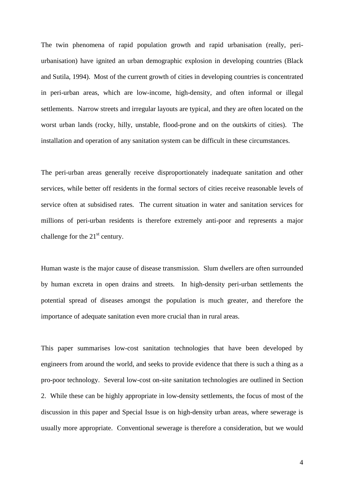The twin phenomena of rapid population growth and rapid urbanisation (really, periurbanisation) have ignited an urban demographic explosion in developing countries (Black and Sutila, 1994). Most of the current growth of cities in developing countries is concentrated in peri-urban areas, which are low-income, high-density, and often informal or illegal settlements. Narrow streets and irregular layouts are typical, and they are often located on the worst urban lands (rocky, hilly, unstable, flood-prone and on the outskirts of cities). The installation and operation of any sanitation system can be difficult in these circumstances.

The peri-urban areas generally receive disproportionately inadequate sanitation and other services, while better off residents in the formal sectors of cities receive reasonable levels of service often at subsidised rates. The current situation in water and sanitation services for millions of peri-urban residents is therefore extremely anti-poor and represents a major challenge for the  $21<sup>st</sup>$  century.

Human waste is the major cause of disease transmission. Slum dwellers are often surrounded by human excreta in open drains and streets. In high-density peri-urban settlements the potential spread of diseases amongst the population is much greater, and therefore the importance of adequate sanitation even more crucial than in rural areas.

This paper summarises low-cost sanitation technologies that have been developed by engineers from around the world, and seeks to provide evidence that there is such a thing as a pro-poor technology. Several low-cost on-site sanitation technologies are outlined in Section 2. While these can be highly appropriate in low-density settlements, the focus of most of the discussion in this paper and Special Issue is on high-density urban areas, where sewerage is usually more appropriate. Conventional sewerage is therefore a consideration, but we would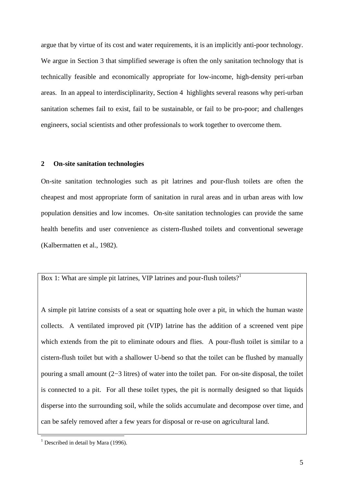argue that by virtue of its cost and water requirements, it is an implicitly anti-poor technology. We argue in Section 3 that simplified sewerage is often the only sanitation technology that is technically feasible and economically appropriate for low-income, high-density peri-urban areas. In an appeal to interdisciplinarity, Section 4 highlights several reasons why peri-urban sanitation schemes fail to exist, fail to be sustainable, or fail to be pro-poor; and challenges engineers, social scientists and other professionals to work together to overcome them.

### **2 On-site sanitation technologies**

On-site sanitation technologies such as pit latrines and pour-flush toilets are often the cheapest and most appropriate form of sanitation in rural areas and in urban areas with low population densities and low incomes. On-site sanitation technologies can provide the same health benefits and user convenience as cistern-flushed toilets and conventional sewerage (Kalbermatten et al., 1982).

Box 1: What are simple pit latrines, VIP latrines and pour-flush toilets?<sup>1</sup>

A simple pit latrine consists of a seat or squatting hole over a pit, in which the human waste collects. A ventilated improved pit (VIP) latrine has the addition of a screened vent pipe which extends from the pit to eliminate odours and flies. A pour-flush toilet is similar to a cistern-flush toilet but with a shallower U-bend so that the toilet can be flushed by manually pouring a small amount (2−3 litres) of water into the toilet pan. For on-site disposal, the toilet is connected to a pit. For all these toilet types, the pit is normally designed so that liquids disperse into the surrounding soil, while the solids accumulate and decompose over time, and can be safely removed after a few years for disposal or re-use on agricultural land.

 $\overline{a}$ 

<sup>&</sup>lt;sup>1</sup> Described in detail by Mara (1996).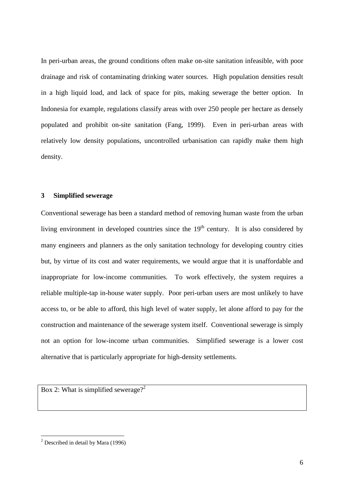In peri-urban areas, the ground conditions often make on-site sanitation infeasible, with poor drainage and risk of contaminating drinking water sources. High population densities result in a high liquid load, and lack of space for pits, making sewerage the better option. In Indonesia for example, regulations classify areas with over 250 people per hectare as densely populated and prohibit on-site sanitation (Fang, 1999). Even in peri-urban areas with relatively low density populations, uncontrolled urbanisation can rapidly make them high density.

## **3 Simplified sewerage**

Conventional sewerage has been a standard method of removing human waste from the urban living environment in developed countries since the  $19<sup>th</sup>$  century. It is also considered by many engineers and planners as the only sanitation technology for developing country cities but, by virtue of its cost and water requirements, we would argue that it is unaffordable and inappropriate for low-income communities. To work effectively, the system requires a reliable multiple-tap in-house water supply. Poor peri-urban users are most unlikely to have access to, or be able to afford, this high level of water supply, let alone afford to pay for the construction and maintenance of the sewerage system itself. Conventional sewerage is simply not an option for low-income urban communities. Simplified sewerage is a lower cost alternative that is particularly appropriate for high-density settlements.

Box 2: What is simplified sewerage?<sup>2</sup>

 2 Described in detail by Mara (1996)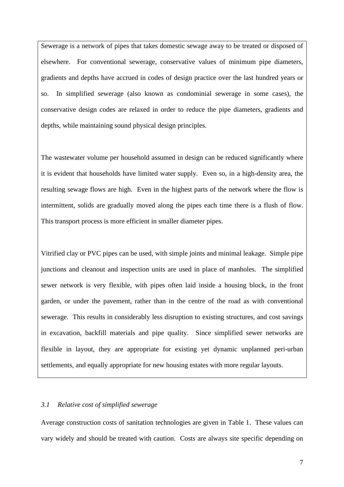Sewerage is a network of pipes that takes domestic sewage away to be treated or disposed of elsewhere. For conventional sewerage, conservative values of minimum pipe diameters, gradients and depths have accrued in codes of design practice over the last hundred years or so. In simplified sewerage (also known as condominial sewerage in some cases), the conservative design codes are relaxed in order to reduce the pipe diameters, gradients and depths, while maintaining sound physical design principles.

The wastewater volume per household assumed in design can be reduced significantly where it is evident that households have limited water supply. Even so, in a high-density area, the resulting sewage flows are high. Even in the highest parts of the network where the flow is intermittent, solids are gradually moved along the pipes each time there is a flush of flow. This transport process is more efficient in smaller diameter pipes.

Vitrified clay or PVC pipes can be used, with simple joints and minimal leakage. Simple pipe junctions and cleanout and inspection units are used in place of manholes. The simplified sewer network is very flexible, with pipes often laid inside a housing block, in the front garden, or under the pavement, rather than in the centre of the road as with conventional sewerage. This results in considerably less disruption to existing structures, and cost savings in excavation, backfill materials and pipe quality. Since simplified sewer networks are flexible in layout, they are appropriate for existing yet dynamic unplanned peri-urban settlements, and equally appropriate for new housing estates with more regular layouts.

### *3.1 Relative cost of simplified sewerage*

Average construction costs of sanitation technologies are given in Table 1. These values can vary widely and should be treated with caution. Costs are always site specific depending on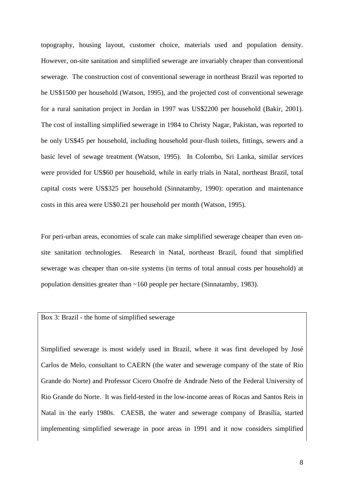topography, housing layout, customer choice, materials used and population density. However, on-site sanitation and simplified sewerage are invariably cheaper than conventional sewerage. The construction cost of conventional sewerage in northeast Brazil was reported to be US\$1500 per household (Watson, 1995), and the projected cost of conventional sewerage for a rural sanitation project in Jordan in 1997 was US\$2200 per household (Bakir, 2001). The cost of installing simplified sewerage in 1984 to Christy Nagar, Pakistan, was reported to be only US\$45 per household, including household pour-flush toilets, fittings, sewers and a basic level of sewage treatment (Watson, 1995). In Colombo, Sri Lanka, similar services were provided for US\$60 per household, while in early trials in Natal, northeast Brazil, total capital costs were US\$325 per household (Sinnatamby, 1990): operation and maintenance costs in this area were US\$0.21 per household per month (Watson, 1995).

For peri-urban areas, economies of scale can make simplified sewerage cheaper than even onsite sanitation technologies. Research in Natal, northeast Brazil, found that simplified sewerage was cheaper than on-site systems (in terms of total annual costs per household) at population densities greater than ~160 people per hectare (Sinnatamby, 1983).

### Box 3: Brazil - the home of simplified sewerage

Simplified sewerage is most widely used in Brazil, where it was first developed by José Carlos de Melo, consultant to CAERN (the water and sewerage company of the state of Rio Grande do Norte) and Professor Cicero Onofre de Andrade Neto of the Federal University of Rio Grande do Norte. It was field-tested in the low-income areas of Rocas and Santos Reis in Natal in the early 1980s. CAESB, the water and sewerage company of Brasília, started implementing simplified sewerage in poor areas in 1991 and it now considers simplified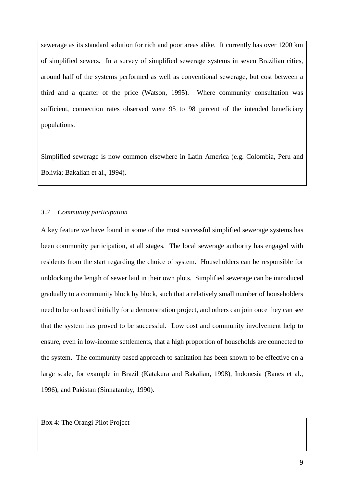sewerage as its standard solution for rich and poor areas alike. It currently has over 1200 km of simplified sewers. In a survey of simplified sewerage systems in seven Brazilian cities, around half of the systems performed as well as conventional sewerage, but cost between a third and a quarter of the price (Watson, 1995). Where community consultation was sufficient, connection rates observed were 95 to 98 percent of the intended beneficiary populations.

Simplified sewerage is now common elsewhere in Latin America (e.g. Colombia, Peru and Bolivia; Bakalian et al., 1994).

## *3.2 Community participation*

A key feature we have found in some of the most successful simplified sewerage systems has been community participation, at all stages. The local sewerage authority has engaged with residents from the start regarding the choice of system. Householders can be responsible for unblocking the length of sewer laid in their own plots. Simplified sewerage can be introduced gradually to a community block by block, such that a relatively small number of householders need to be on board initially for a demonstration project, and others can join once they can see that the system has proved to be successful. Low cost and community involvement help to ensure, even in low-income settlements, that a high proportion of households are connected to the system. The community based approach to sanitation has been shown to be effective on a large scale, for example in Brazil (Katakura and Bakalian, 1998), Indonesia (Banes et al., 1996), and Pakistan (Sinnatamby, 1990).

Box 4: The Orangi Pilot Project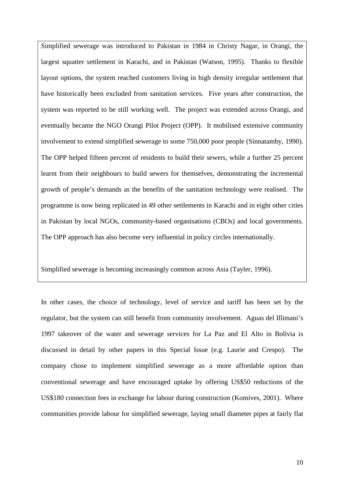Simplified sewerage was introduced to Pakistan in 1984 in Christy Nagar, in Orangi, the largest squatter settlement in Karachi, and in Pakistan (Watson, 1995). Thanks to flexible layout options, the system reached customers living in high density irregular settlement that have historically been excluded from sanitation services. Five years after construction, the system was reported to be still working well. The project was extended across Orangi, and eventually became the NGO Orangi Pilot Project (OPP). It mobilised extensive community involvement to extend simplified sewerage to some 750,000 poor people (Sinnatamby, 1990). The OPP helped fifteen percent of residents to build their sewers, while a further 25 percent learnt from their neighbours to build sewers for themselves, demonstrating the incremental growth of people's demands as the benefits of the sanitation technology were realised. The programme is now being replicated in 49 other settlements in Karachi and in eight other cities in Pakistan by local NGOs, community-based organisations (CBOs) and local governments. The OPP approach has also become very influential in policy circles internationally.

Simplified sewerage is becoming increasingly common across Asia (Tayler, 1996).

In other cases, the choice of technology, level of service and tariff has been set by the regulator, but the system can still benefit from community involvement. Aguas del Illimani's 1997 takeover of the water and sewerage services for La Paz and El Alto in Bolivia is discussed in detail by other papers in this Special Issue (e.g. Laurie and Crespo). The company chose to implement simplified sewerage as a more affordable option than conventional sewerage and have encouraged uptake by offering US\$50 reductions of the US\$180 connection fees in exchange for labour during construction (Komives, 2001). Where communities provide labour for simplified sewerage, laying small diameter pipes at fairly flat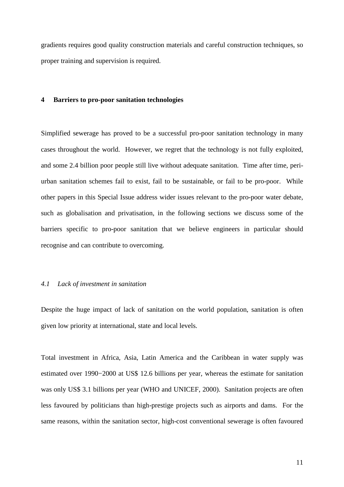gradients requires good quality construction materials and careful construction techniques, so proper training and supervision is required.

#### **4 Barriers to pro-poor sanitation technologies**

Simplified sewerage has proved to be a successful pro-poor sanitation technology in many cases throughout the world. However, we regret that the technology is not fully exploited, and some 2.4 billion poor people still live without adequate sanitation. Time after time, periurban sanitation schemes fail to exist, fail to be sustainable, or fail to be pro-poor. While other papers in this Special Issue address wider issues relevant to the pro-poor water debate, such as globalisation and privatisation, in the following sections we discuss some of the barriers specific to pro-poor sanitation that we believe engineers in particular should recognise and can contribute to overcoming.

#### *4.1 Lack of investment in sanitation*

Despite the huge impact of lack of sanitation on the world population, sanitation is often given low priority at international, state and local levels.

Total investment in Africa, Asia, Latin America and the Caribbean in water supply was estimated over 1990−2000 at US\$ 12.6 billions per year, whereas the estimate for sanitation was only US\$ 3.1 billions per year (WHO and UNICEF, 2000). Sanitation projects are often less favoured by politicians than high-prestige projects such as airports and dams. For the same reasons, within the sanitation sector, high-cost conventional sewerage is often favoured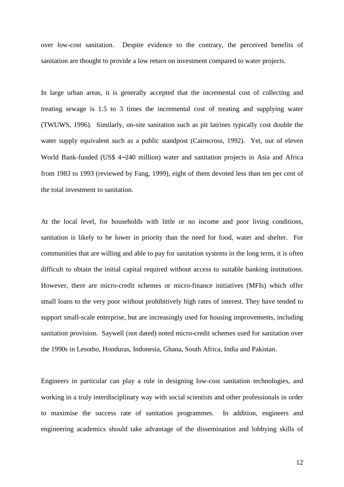over low-cost sanitation. Despite evidence to the contrary, the perceived benefits of sanitation are thought to provide a low return on investment compared to water projects.

In large urban areas, it is generally accepted that the incremental cost of collecting and treating sewage is 1.5 to 3 times the incremental cost of treating and supplying water (TWUWS, 1996). Similarly, on-site sanitation such as pit latrines typically cost double the water supply equivalent such as a public standpost (Cairncross, 1992). Yet, out of eleven World Bank-funded (US\$ 4−240 million) water and sanitation projects in Asia and Africa from 1983 to 1993 (reviewed by Fang, 1999), eight of them devoted less than ten per cent of the total investment to sanitation.

At the local level, for households with little or no income and poor living conditions, sanitation is likely to be lower in priority than the need for food, water and shelter. For communities that are willing and able to pay for sanitation systems in the long term, it is often difficult to obtain the initial capital required without access to suitable banking institutions. However, there are micro-credit schemes or micro-finance initiatives (MFIs) which offer small loans to the very poor without prohibitively high rates of interest. They have tended to support small-scale enterprise, but are increasingly used for housing improvements, including sanitation provision. Saywell (not dated) noted micro-credit schemes used for sanitation over the 1990s in Lesotho, Honduras, Indonesia, Ghana, South Africa, India and Pakistan.

Engineers in particular can play a role in designing low-cost sanitation technologies, and working in a truly interdisciplinary way with social scientists and other professionals in order to maximise the success rate of sanitation programmes. In addition, engineers and engineering academics should take advantage of the dissemination and lobbying skills of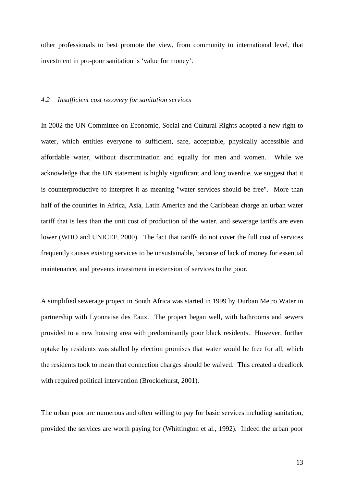other professionals to best promote the view, from community to international level, that investment in pro-poor sanitation is 'value for money'.

### *4.2 Insufficient cost recovery for sanitation services*

In 2002 the UN Committee on Economic, Social and Cultural Rights adopted a new right to water, which entitles everyone to sufficient, safe, acceptable, physically accessible and affordable water, without discrimination and equally for men and women. While we acknowledge that the UN statement is highly significant and long overdue, we suggest that it is counterproductive to interpret it as meaning "water services should be free". More than half of the countries in Africa, Asia, Latin America and the Caribbean charge an urban water tariff that is less than the unit cost of production of the water, and sewerage tariffs are even lower (WHO and UNICEF, 2000). The fact that tariffs do not cover the full cost of services frequently causes existing services to be unsustainable, because of lack of money for essential maintenance, and prevents investment in extension of services to the poor.

A simplified sewerage project in South Africa was started in 1999 by Durban Metro Water in partnership with Lyonnaise des Eaux. The project began well, with bathrooms and sewers provided to a new housing area with predominantly poor black residents. However, further uptake by residents was stalled by election promises that water would be free for all, which the residents took to mean that connection charges should be waived. This created a deadlock with required political intervention (Brocklehurst, 2001).

The urban poor are numerous and often willing to pay for basic services including sanitation, provided the services are worth paying for (Whittington et al., 1992). Indeed the urban poor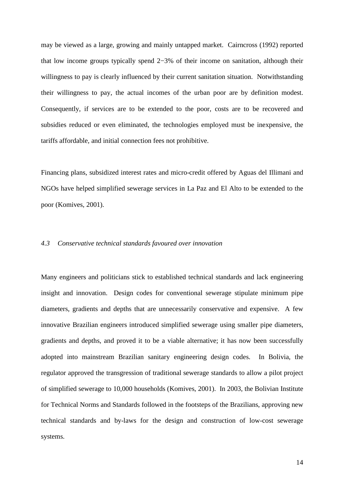may be viewed as a large, growing and mainly untapped market. Cairncross (1992) reported that low income groups typically spend 2−3% of their income on sanitation, although their willingness to pay is clearly influenced by their current sanitation situation. Notwithstanding their willingness to pay, the actual incomes of the urban poor are by definition modest. Consequently, if services are to be extended to the poor, costs are to be recovered and subsidies reduced or even eliminated, the technologies employed must be inexpensive, the tariffs affordable, and initial connection fees not prohibitive.

Financing plans, subsidized interest rates and micro-credit offered by Aguas del Illimani and NGOs have helped simplified sewerage services in La Paz and El Alto to be extended to the poor (Komives, 2001).

## *4.3 Conservative technical standards favoured over innovation*

Many engineers and politicians stick to established technical standards and lack engineering insight and innovation. Design codes for conventional sewerage stipulate minimum pipe diameters, gradients and depths that are unnecessarily conservative and expensive. A few innovative Brazilian engineers introduced simplified sewerage using smaller pipe diameters, gradients and depths, and proved it to be a viable alternative; it has now been successfully adopted into mainstream Brazilian sanitary engineering design codes. In Bolivia, the regulator approved the transgression of traditional sewerage standards to allow a pilot project of simplified sewerage to 10,000 households (Komives, 2001). In 2003, the Bolivian Institute for Technical Norms and Standards followed in the footsteps of the Brazilians, approving new technical standards and by-laws for the design and construction of low-cost sewerage systems.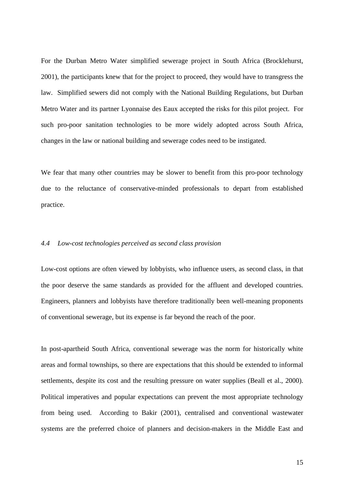For the Durban Metro Water simplified sewerage project in South Africa (Brocklehurst, 2001), the participants knew that for the project to proceed, they would have to transgress the law. Simplified sewers did not comply with the National Building Regulations, but Durban Metro Water and its partner Lyonnaise des Eaux accepted the risks for this pilot project. For such pro-poor sanitation technologies to be more widely adopted across South Africa, changes in the law or national building and sewerage codes need to be instigated.

We fear that many other countries may be slower to benefit from this pro-poor technology due to the reluctance of conservative-minded professionals to depart from established practice.

## *4.4 Low-cost technologies perceived as second class provision*

Low-cost options are often viewed by lobbyists, who influence users, as second class, in that the poor deserve the same standards as provided for the affluent and developed countries. Engineers, planners and lobbyists have therefore traditionally been well-meaning proponents of conventional sewerage, but its expense is far beyond the reach of the poor.

In post-apartheid South Africa, conventional sewerage was the norm for historically white areas and formal townships, so there are expectations that this should be extended to informal settlements, despite its cost and the resulting pressure on water supplies (Beall et al., 2000). Political imperatives and popular expectations can prevent the most appropriate technology from being used. According to Bakir (2001), centralised and conventional wastewater systems are the preferred choice of planners and decision-makers in the Middle East and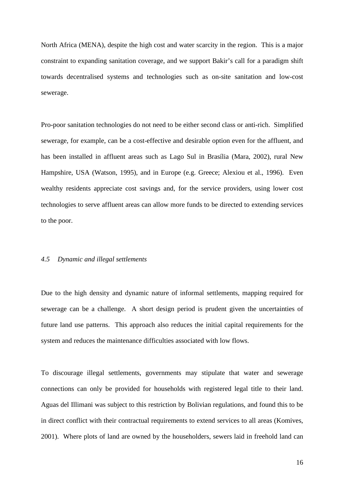North Africa (MENA), despite the high cost and water scarcity in the region. This is a major constraint to expanding sanitation coverage, and we support Bakir's call for a paradigm shift towards decentralised systems and technologies such as on-site sanitation and low-cost sewerage.

Pro-poor sanitation technologies do not need to be either second class or anti-rich. Simplified sewerage, for example, can be a cost-effective and desirable option even for the affluent, and has been installed in affluent areas such as Lago Sul in Brasília (Mara, 2002), rural New Hampshire, USA (Watson, 1995), and in Europe (e.g. Greece; Alexiou et al., 1996). Even wealthy residents appreciate cost savings and, for the service providers, using lower cost technologies to serve affluent areas can allow more funds to be directed to extending services to the poor.

#### *4.5 Dynamic and illegal settlements*

Due to the high density and dynamic nature of informal settlements, mapping required for sewerage can be a challenge. A short design period is prudent given the uncertainties of future land use patterns. This approach also reduces the initial capital requirements for the system and reduces the maintenance difficulties associated with low flows.

To discourage illegal settlements, governments may stipulate that water and sewerage connections can only be provided for households with registered legal title to their land. Aguas del Illimani was subject to this restriction by Bolivian regulations, and found this to be in direct conflict with their contractual requirements to extend services to all areas (Komives, 2001). Where plots of land are owned by the householders, sewers laid in freehold land can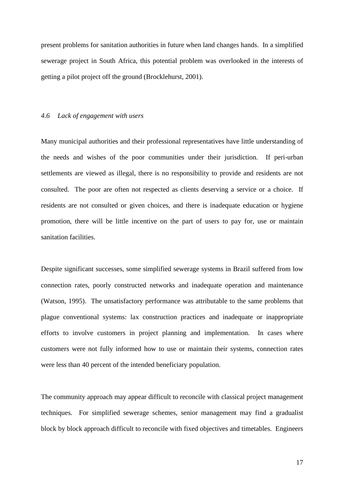present problems for sanitation authorities in future when land changes hands. In a simplified sewerage project in South Africa, this potential problem was overlooked in the interests of getting a pilot project off the ground (Brocklehurst, 2001).

#### *4.6 Lack of engagement with users*

Many municipal authorities and their professional representatives have little understanding of the needs and wishes of the poor communities under their jurisdiction. If peri-urban settlements are viewed as illegal, there is no responsibility to provide and residents are not consulted. The poor are often not respected as clients deserving a service or a choice. If residents are not consulted or given choices, and there is inadequate education or hygiene promotion, there will be little incentive on the part of users to pay for, use or maintain sanitation facilities.

Despite significant successes, some simplified sewerage systems in Brazil suffered from low connection rates, poorly constructed networks and inadequate operation and maintenance (Watson, 1995). The unsatisfactory performance was attributable to the same problems that plague conventional systems: lax construction practices and inadequate or inappropriate efforts to involve customers in project planning and implementation. In cases where customers were not fully informed how to use or maintain their systems, connection rates were less than 40 percent of the intended beneficiary population.

The community approach may appear difficult to reconcile with classical project management techniques. For simplified sewerage schemes, senior management may find a gradualist block by block approach difficult to reconcile with fixed objectives and timetables. Engineers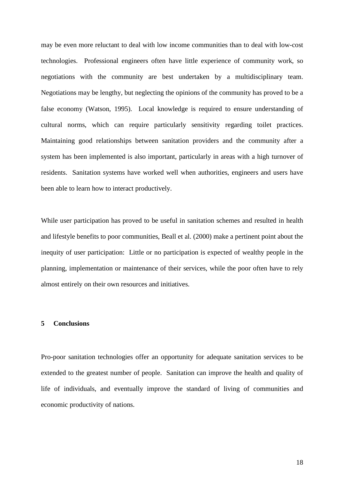may be even more reluctant to deal with low income communities than to deal with low-cost technologies. Professional engineers often have little experience of community work, so negotiations with the community are best undertaken by a multidisciplinary team. Negotiations may be lengthy, but neglecting the opinions of the community has proved to be a false economy (Watson, 1995). Local knowledge is required to ensure understanding of cultural norms, which can require particularly sensitivity regarding toilet practices. Maintaining good relationships between sanitation providers and the community after a system has been implemented is also important, particularly in areas with a high turnover of residents. Sanitation systems have worked well when authorities, engineers and users have been able to learn how to interact productively.

While user participation has proved to be useful in sanitation schemes and resulted in health and lifestyle benefits to poor communities, Beall et al. (2000) make a pertinent point about the inequity of user participation: Little or no participation is expected of wealthy people in the planning, implementation or maintenance of their services, while the poor often have to rely almost entirely on their own resources and initiatives.

## **5 Conclusions**

Pro-poor sanitation technologies offer an opportunity for adequate sanitation services to be extended to the greatest number of people. Sanitation can improve the health and quality of life of individuals, and eventually improve the standard of living of communities and economic productivity of nations.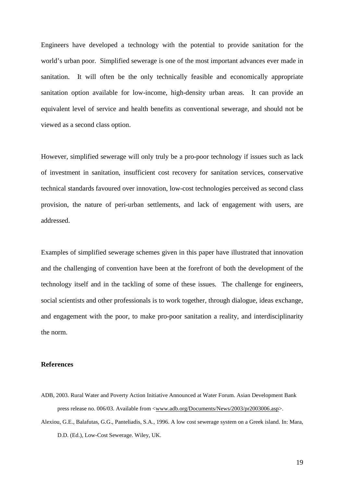Engineers have developed a technology with the potential to provide sanitation for the world's urban poor. Simplified sewerage is one of the most important advances ever made in sanitation. It will often be the only technically feasible and economically appropriate sanitation option available for low-income, high-density urban areas. It can provide an equivalent level of service and health benefits as conventional sewerage, and should not be viewed as a second class option.

However, simplified sewerage will only truly be a pro-poor technology if issues such as lack of investment in sanitation, insufficient cost recovery for sanitation services, conservative technical standards favoured over innovation, low-cost technologies perceived as second class provision, the nature of peri-urban settlements, and lack of engagement with users, are addressed.

Examples of simplified sewerage schemes given in this paper have illustrated that innovation and the challenging of convention have been at the forefront of both the development of the technology itself and in the tackling of some of these issues. The challenge for engineers, social scientists and other professionals is to work together, through dialogue, ideas exchange, and engagement with the poor, to make pro-poor sanitation a reality, and interdisciplinarity the norm.

## **References**

- ADB, 2003. Rural Water and Poverty Action Initiative Announced at Water Forum. Asian Development Bank press release no. 006/03. Available from <www.adb.org/Documents/News/2003/pr2003006.asp>.
- Alexiou, G.E., Balafutas, G.G., Panteliadis, S.A., 1996. A low cost sewerage system on a Greek island. In: Mara, D.D. (Ed.), Low-Cost Sewerage. Wiley, UK.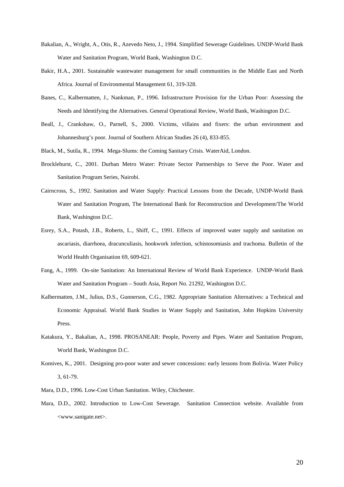- Bakalian, A., Wright, A., Otis, R., Azevedo Neto, J., 1994. Simplified Sewerage Guidelines. UNDP-World Bank Water and Sanitation Program, World Bank, Washington D.C.
- Bakir, H.A., 2001. Sustainable wastewater management for small communities in the Middle East and North Africa. Journal of Environmental Management 61, 319-328.
- Banes, C., Kalbermatten, J., Nankman, P., 1996. Infrastructure Provision for the Urban Poor: Assessing the Needs and Identifying the Alternatives. General Operational Review, World Bank, Washington D.C.
- Beall, J., Crankshaw, O., Parnell, S., 2000. Victims, villains and fixers: the urban environment and Johannesburg's poor. Journal of Southern African Studies 26 (4), 833-855.
- Black, M., Sutila, R., 1994. Mega-Slums: the Coming Sanitary Crisis. WaterAid, London.
- Brocklehurst, C., 2001. Durban Metro Water: Private Sector Partnerships to Serve the Poor. Water and Sanitation Program Series, Nairobi.
- Cairncross, S., 1992. Sanitation and Water Supply: Practical Lessons from the Decade, UNDP-World Bank Water and Sanitation Program, The International Bank for Reconstruction and Development/The World Bank, Washington D.C.
- Esrey, S.A., Potash, J.B., Roberts, L., Shiff, C., 1991. Effects of improved water supply and sanitation on ascariasis, diarrhoea, dracunculiasis, hookwork infection, schistosomiasis and trachoma. Bulletin of the World Health Organisation 69, 609-621.
- Fang, A., 1999. On-site Sanitation: An International Review of World Bank Experience. UNDP-World Bank Water and Sanitation Program – South Asia, Report No. 21292, Washington D.C.
- Kalbermatten, J.M., Julius, D.S., Gunnerson, C.G., 1982. Appropriate Sanitation Alternatives: a Technical and Economic Appraisal. World Bank Studies in Water Supply and Sanitation, John Hopkins University Press.
- Katakura, Y., Bakalian, A., 1998. PROSANEAR: People, Poverty and Pipes. Water and Sanitation Program, World Bank, Washington D.C.
- Komives, K., 2001. Designing pro-poor water and sewer concessions: early lessons from Bolivia. Water Policy 3, 61-79.
- Mara, D.D., 1996. Low-Cost Urban Sanitation. Wiley, Chichester.
- Mara, D.D., 2002. Introduction to Low-Cost Sewerage. Sanitation Connection website. Available from <www.sanigate.net>.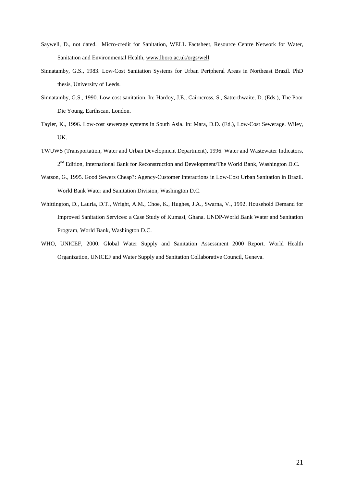- Saywell, D., not dated. Micro-credit for Sanitation, WELL Factsheet, Resource Centre Network for Water, Sanitation and Environmental Health, www.lboro.ac.uk/orgs/well.
- Sinnatamby, G.S., 1983. Low-Cost Sanitation Systems for Urban Peripheral Areas in Northeast Brazil. PhD thesis, University of Leeds.
- Sinnatamby, G.S., 1990. Low cost sanitation. In: Hardoy, J.E., Cairncross, S., Satterthwaite, D. (Eds.), The Poor Die Young. Earthscan, London.
- Tayler, K., 1996. Low-cost sewerage systems in South Asia. In: Mara, D.D. (Ed.), Low-Cost Sewerage. Wiley, UK.
- TWUWS (Transportation, Water and Urban Development Department), 1996. Water and Wastewater Indicators, 2<sup>nd</sup> Edition, International Bank for Reconstruction and Development/The World Bank, Washington D.C.
- Watson, G., 1995. Good Sewers Cheap?: Agency-Customer Interactions in Low-Cost Urban Sanitation in Brazil. World Bank Water and Sanitation Division, Washington D.C.
- Whittington, D., Lauria, D.T., Wright, A.M., Choe, K., Hughes, J.A., Swarna, V., 1992. Household Demand for Improved Sanitation Services: a Case Study of Kumasi, Ghana. UNDP-World Bank Water and Sanitation Program, World Bank, Washington D.C.
- WHO, UNICEF, 2000. Global Water Supply and Sanitation Assessment 2000 Report. World Health Organization, UNICEF and Water Supply and Sanitation Collaborative Council, Geneva.